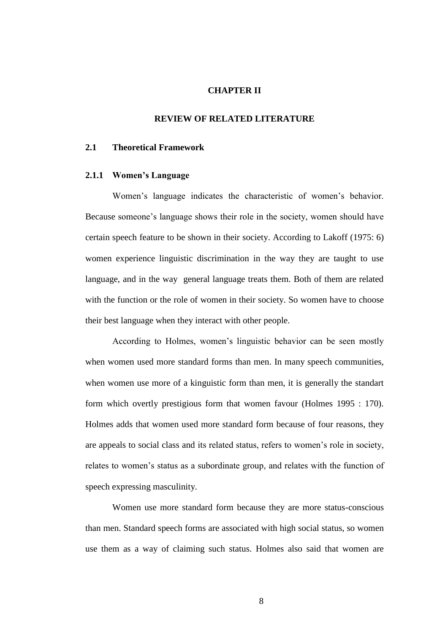### **CHAPTER II**

### **REVIEW OF RELATED LITERATURE**

# **2.1 Theoretical Framework**

#### **2.1.1 Women"s Language**

Women's language indicates the characteristic of women's behavior. Because someone"s language shows their role in the society, women should have certain speech feature to be shown in their society. According to Lakoff (1975: 6) women experience linguistic discrimination in the way they are taught to use language, and in the way general language treats them. Both of them are related with the function or the role of women in their society. So women have to choose their best language when they interact with other people.

According to Holmes, women"s linguistic behavior can be seen mostly when women used more standard forms than men. In many speech communities, when women use more of a kinguistic form than men, it is generally the standart form which overtly prestigious form that women favour (Holmes 1995 : 170). Holmes adds that women used more standard form because of four reasons, they are appeals to social class and its related status, refers to women"s role in society, relates to women"s status as a subordinate group, and relates with the function of speech expressing masculinity.

Women use more standard form because they are more status-conscious than men. Standard speech forms are associated with high social status, so women use them as a way of claiming such status. Holmes also said that women are

8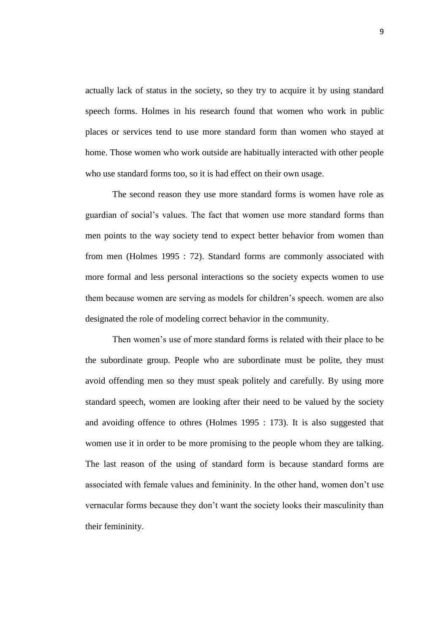actually lack of status in the society, so they try to acquire it by using standard speech forms. Holmes in his research found that women who work in public places or services tend to use more standard form than women who stayed at home. Those women who work outside are habitually interacted with other people who use standard forms too, so it is had effect on their own usage.

The second reason they use more standard forms is women have role as guardian of social"s values. The fact that women use more standard forms than men points to the way society tend to expect better behavior from women than from men (Holmes 1995 : 72). Standard forms are commonly associated with more formal and less personal interactions so the society expects women to use them because women are serving as models for children"s speech. women are also designated the role of modeling correct behavior in the community.

Then women's use of more standard forms is related with their place to be the subordinate group. People who are subordinate must be polite, they must avoid offending men so they must speak politely and carefully. By using more standard speech, women are looking after their need to be valued by the society and avoiding offence to othres (Holmes 1995 : 173). It is also suggested that women use it in order to be more promising to the people whom they are talking. The last reason of the using of standard form is because standard forms are associated with female values and femininity. In the other hand, women don"t use vernacular forms because they don"t want the society looks their masculinity than their femininity.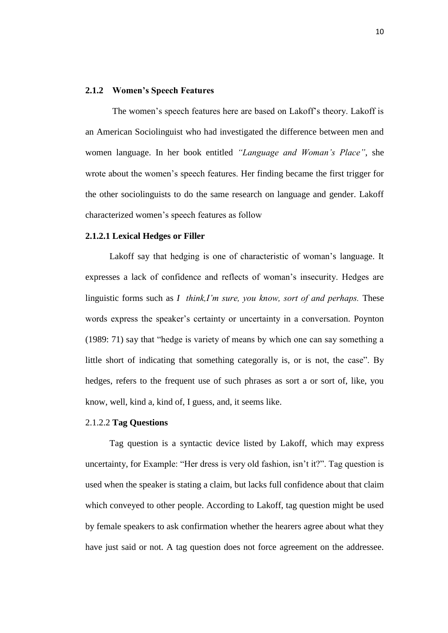### **2.1.2 Women"s Speech Features**

The women"s speech features here are based on Lakoff"s theory. Lakoff is an American Sociolinguist who had investigated the difference between men and women language. In her book entitled *"Language and Woman's Place"*, she wrote about the women's speech features. Her finding became the first trigger for the other sociolinguists to do the same research on language and gender. Lakoff characterized women"s speech features as follow

### **2.1.2.1 Lexical Hedges or Filler**

Lakoff say that hedging is one of characteristic of woman's language. It expresses a lack of confidence and reflects of woman"s insecurity. Hedges are linguistic forms such as *I think,I'm sure, you know, sort of and perhaps.* These words express the speaker's certainty or uncertainty in a conversation. Poynton (1989: 71) say that "hedge is variety of means by which one can say something a little short of indicating that something categorally is, or is not, the case". By hedges, refers to the frequent use of such phrases as sort a or sort of, like, you know, well, kind a, kind of, I guess, and, it seems like.

#### 2.1.2.2 **Tag Questions**

Tag question is a syntactic device listed by Lakoff, which may express uncertainty, for Example: "Her dress is very old fashion, isn't it?". Tag question is used when the speaker is stating a claim, but lacks full confidence about that claim which conveyed to other people. According to Lakoff, tag question might be used by female speakers to ask confirmation whether the hearers agree about what they have just said or not. A tag question does not force agreement on the addressee.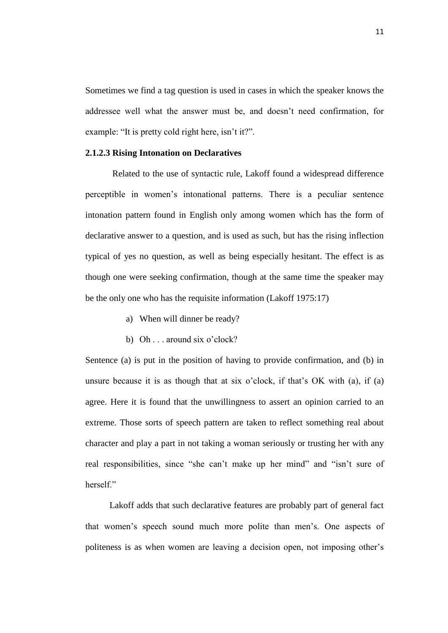Sometimes we find a tag question is used in cases in which the speaker knows the addressee well what the answer must be, and doesn't need confirmation, for example: "It is pretty cold right here, isn't it?".

### **2.1.2.3 Rising Intonation on Declaratives**

Related to the use of syntactic rule, Lakoff found a widespread difference perceptible in women"s intonational patterns. There is a peculiar sentence intonation pattern found in English only among women which has the form of declarative answer to a question, and is used as such, but has the rising inflection typical of yes no question, as well as being especially hesitant. The effect is as though one were seeking confirmation, though at the same time the speaker may be the only one who has the requisite information (Lakoff 1975:17)

- a) When will dinner be ready?
- b) Oh . . . around six o'clock?

Sentence (a) is put in the position of having to provide confirmation, and (b) in unsure because it is as though that at six o'clock, if that's  $OK$  with (a), if (a) agree. Here it is found that the unwillingness to assert an opinion carried to an extreme. Those sorts of speech pattern are taken to reflect something real about character and play a part in not taking a woman seriously or trusting her with any real responsibilities, since "she can"t make up her mind" and "isn"t sure of herself"

Lakoff adds that such declarative features are probably part of general fact that women"s speech sound much more polite than men"s. One aspects of politeness is as when women are leaving a decision open, not imposing other"s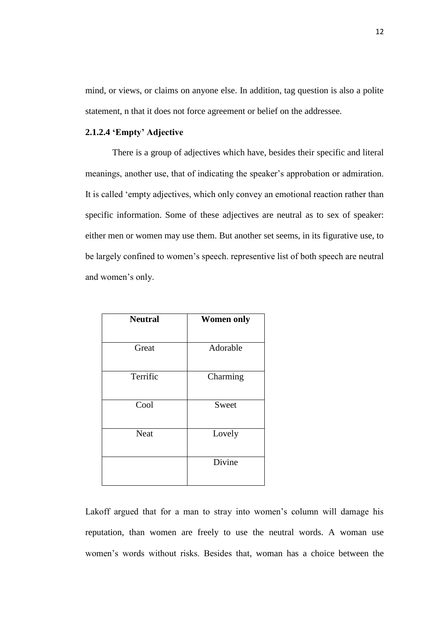mind, or views, or claims on anyone else. In addition, tag question is also a polite statement, n that it does not force agreement or belief on the addressee.

# **2.1.2.4 "Empty" Adjective**

There is a group of adjectives which have, besides their specific and literal meanings, another use, that of indicating the speaker"s approbation or admiration. It is called "empty adjectives, which only convey an emotional reaction rather than specific information. Some of these adjectives are neutral as to sex of speaker: either men or women may use them. But another set seems, in its figurative use, to be largely confined to women"s speech. representive list of both speech are neutral and women's only.

| <b>Neutral</b> | <b>Women only</b> |
|----------------|-------------------|
|                |                   |
| Great          | Adorable          |
| Terrific       | Charming          |
| Cool           | Sweet             |
| <b>Neat</b>    | Lovely            |
|                | Divine            |

Lakoff argued that for a man to stray into women's column will damage his reputation, than women are freely to use the neutral words. A woman use women"s words without risks. Besides that, woman has a choice between the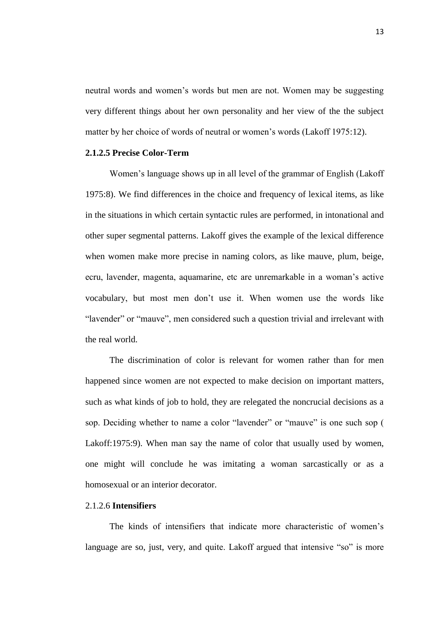neutral words and women"s words but men are not. Women may be suggesting very different things about her own personality and her view of the the subject matter by her choice of words of neutral or women's words (Lakoff 1975:12).

## **2.1.2.5 Precise Color-Term**

Women"s language shows up in all level of the grammar of English (Lakoff 1975:8). We find differences in the choice and frequency of lexical items, as like in the situations in which certain syntactic rules are performed, in intonational and other super segmental patterns. Lakoff gives the example of the lexical difference when women make more precise in naming colors, as like mauve, plum, beige, ecru, lavender, magenta, aquamarine, etc are unremarkable in a woman"s active vocabulary, but most men don"t use it. When women use the words like "lavender" or "mauve", men considered such a question trivial and irrelevant with the real world.

The discrimination of color is relevant for women rather than for men happened since women are not expected to make decision on important matters, such as what kinds of job to hold, they are relegated the noncrucial decisions as a sop. Deciding whether to name a color "lavender" or "mauve" is one such sop ( Lakoff:1975:9). When man say the name of color that usually used by women, one might will conclude he was imitating a woman sarcastically or as a homosexual or an interior decorator.

# 2.1.2.6 **Intensifiers**

The kinds of intensifiers that indicate more characteristic of women's language are so, just, very, and quite. Lakoff argued that intensive "so" is more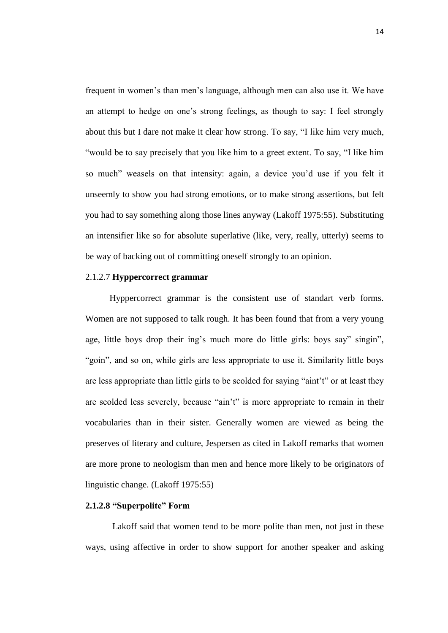frequent in women"s than men"s language, although men can also use it. We have an attempt to hedge on one"s strong feelings, as though to say: I feel strongly about this but I dare not make it clear how strong. To say, "I like him very much, "would be to say precisely that you like him to a greet extent. To say, "I like him so much" weasels on that intensity: again, a device you"d use if you felt it unseemly to show you had strong emotions, or to make strong assertions, but felt you had to say something along those lines anyway (Lakoff 1975:55). Substituting an intensifier like so for absolute superlative (like, very, really, utterly) seems to be way of backing out of committing oneself strongly to an opinion.

# 2.1.2.7 **Hyppercorrect grammar**

Hyppercorrect grammar is the consistent use of standart verb forms. Women are not supposed to talk rough. It has been found that from a very young age, little boys drop their ing"s much more do little girls: boys say" singin", "goin", and so on, while girls are less appropriate to use it. Similarity little boys are less appropriate than little girls to be scolded for saying "aint"t" or at least they are scolded less severely, because "ain"t" is more appropriate to remain in their vocabularies than in their sister. Generally women are viewed as being the preserves of literary and culture, Jespersen as cited in Lakoff remarks that women are more prone to neologism than men and hence more likely to be originators of linguistic change. (Lakoff 1975:55)

# **2.1.2.8 "Superpolite" Form**

Lakoff said that women tend to be more polite than men, not just in these ways, using affective in order to show support for another speaker and asking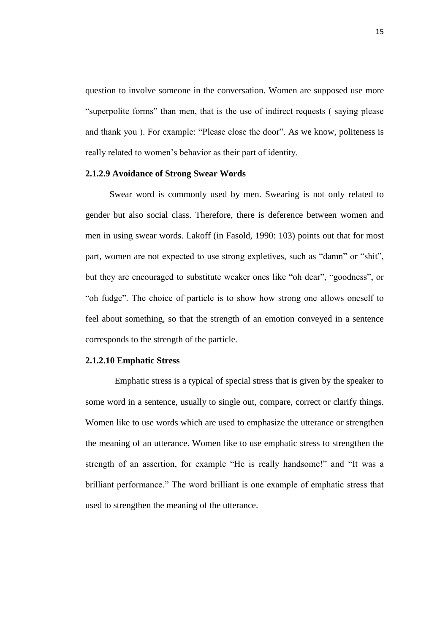question to involve someone in the conversation. Women are supposed use more "superpolite forms" than men, that is the use of indirect requests ( saying please and thank you ). For example: "Please close the door". As we know, politeness is really related to women"s behavior as their part of identity.

#### **2.1.2.9 Avoidance of Strong Swear Words**

Swear word is commonly used by men. Swearing is not only related to gender but also social class. Therefore, there is deference between women and men in using swear words. Lakoff (in Fasold, 1990: 103) points out that for most part, women are not expected to use strong expletives, such as "damn" or "shit", but they are encouraged to substitute weaker ones like "oh dear", "goodness", or "oh fudge". The choice of particle is to show how strong one allows oneself to feel about something, so that the strength of an emotion conveyed in a sentence corresponds to the strength of the particle.

### **2.1.2.10 Emphatic Stress**

Emphatic stress is a typical of special stress that is given by the speaker to some word in a sentence, usually to single out, compare, correct or clarify things. Women like to use words which are used to emphasize the utterance or strengthen the meaning of an utterance. Women like to use emphatic stress to strengthen the strength of an assertion, for example "He is really handsome!" and "It was a brilliant performance." The word brilliant is one example of emphatic stress that used to strengthen the meaning of the utterance.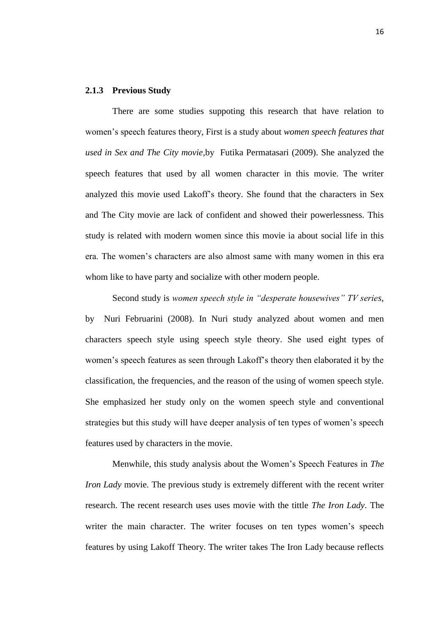### **2.1.3 Previous Study**

There are some studies suppoting this research that have relation to women"s speech features theory, First is a study about *women speech features that used in Sex and The City movie,*by Futika Permatasari (2009). She analyzed the speech features that used by all women character in this movie. The writer analyzed this movie used Lakoff"s theory. She found that the characters in Sex and The City movie are lack of confident and showed their powerlessness. This study is related with modern women since this movie ia about social life in this era. The women"s characters are also almost same with many women in this era whom like to have party and socialize with other modern people.

Second study is *women speech style in "desperate housewives" TV series,* by Nuri Februarini (2008). In Nuri study analyzed about women and men characters speech style using speech style theory. She used eight types of women"s speech features as seen through Lakoff"s theory then elaborated it by the classification, the frequencies, and the reason of the using of women speech style. She emphasized her study only on the women speech style and conventional strategies but this study will have deeper analysis of ten types of women"s speech features used by characters in the movie.

Menwhile, this study analysis about the Women"s Speech Features in *The Iron Lady* movie. The previous study is extremely different with the recent writer research. The recent research uses uses movie with the tittle *The Iron Lady*. The writer the main character. The writer focuses on ten types women's speech features by using Lakoff Theory. The writer takes The Iron Lady because reflects